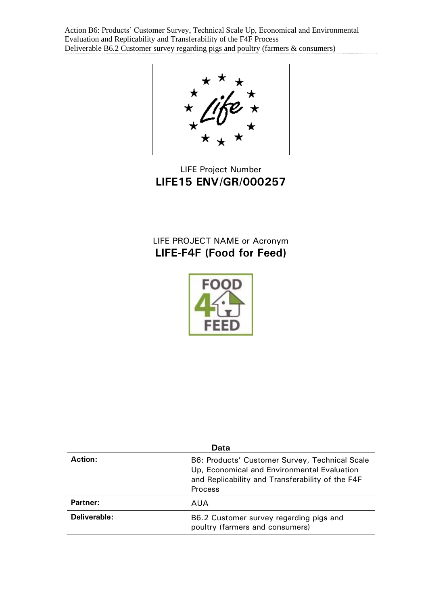

## LIFE Project Number **LIFE15 ENV/GR/000257**

## LIFE PROJECT NAME or Acronym **LIFE-F4F (Food for Feed)**



| Data           |                                                                                                                                                                     |
|----------------|---------------------------------------------------------------------------------------------------------------------------------------------------------------------|
| <b>Action:</b> | B6: Products' Customer Survey, Technical Scale<br>Up, Economical and Environmental Evaluation<br>and Replicability and Transferability of the F4F<br><b>Process</b> |
| Partner:       | AUA                                                                                                                                                                 |
| Deliverable:   | B6.2 Customer survey regarding pigs and<br>poultry (farmers and consumers)                                                                                          |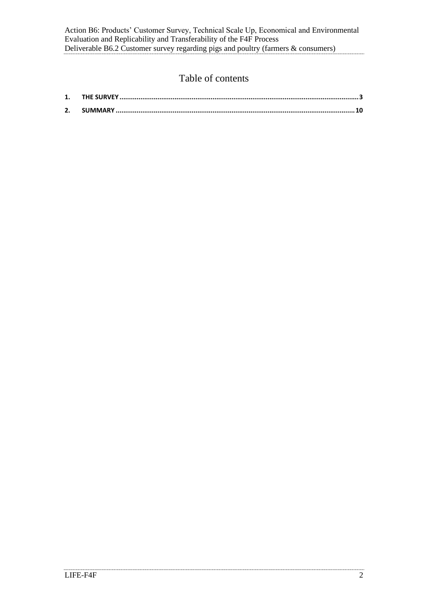# Table of contents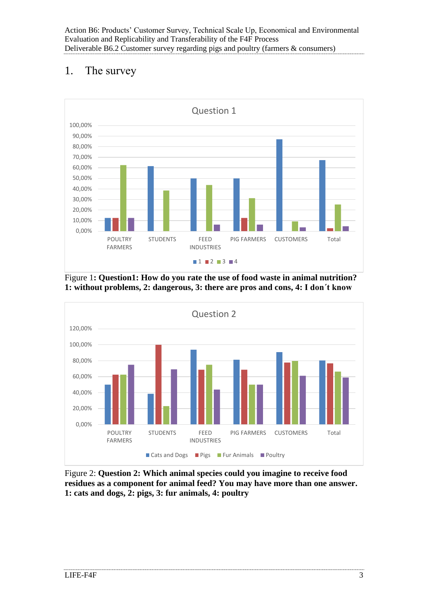# <span id="page-2-0"></span>1. The survey



#### Figure 1**: Question1: How do you rate the use of food waste in animal nutrition? 1: without problems, 2: dangerous, 3: there are pros and cons, 4: I don´t know**



Figure 2: **Question 2: Which animal species could you imagine to receive food residues as a component for animal feed? You may have more than one answer. 1: cats and dogs, 2: pigs, 3: fur animals, 4: poultry**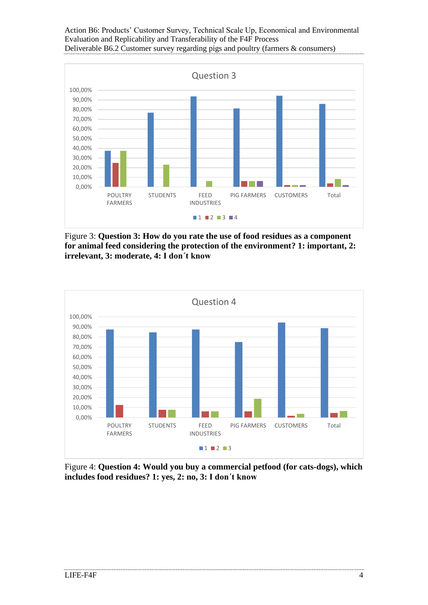

Figure 3: **Question 3: How do you rate the use of food residues as a component for animal feed considering the protection of the environment? 1: important, 2: irrelevant, 3: moderate, 4: I don´t know**



Figure 4: **Question 4: Would you buy a commercial petfood (for cats-dogs), which includes food residues? 1: yes, 2: no, 3: I don´t know**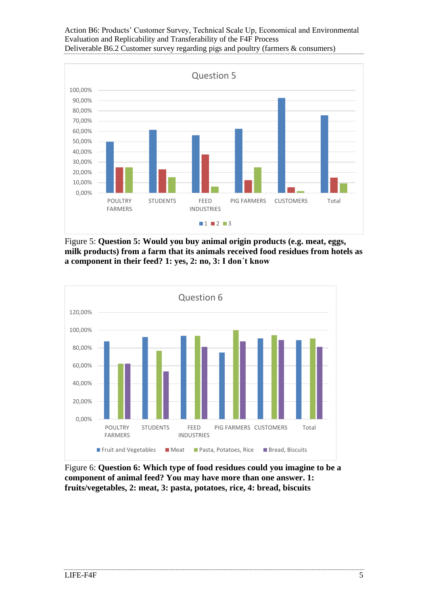

Figure 5: **Question 5: Would you buy animal origin products (e.g. meat, eggs, milk products) from a farm that its animals received food residues from hotels as a component in their feed? 1: yes, 2: no, 3: I don´t know**



Figure 6: **Question 6: Which type of food residues could you imagine to be a component of animal feed? You may have more than one answer. 1: fruits/vegetables, 2: meat, 3: pasta, potatoes, rice, 4: bread, biscuits**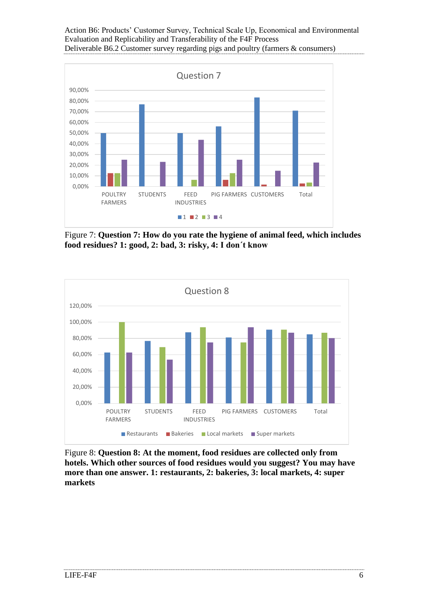

Figure 7: **Question 7: How do you rate the hygiene of animal feed, which includes food residues? 1: good, 2: bad, 3: risky, 4: I don´t know**



Figure 8: **Question 8: At the moment, food residues are collected only from hotels. Which other sources of food residues would you suggest? You may have more than one answer. 1: restaurants, 2: bakeries, 3: local markets, 4: super markets**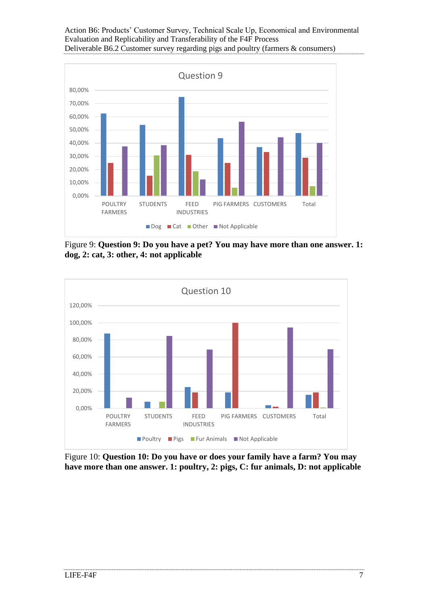

Figure 9: **Question 9: Do you have a pet? You may have more than one answer. 1: dog, 2: cat, 3: other, 4: not applicable**



Figure 10: **Question 10: Do you have or does your family have a farm? You may have more than one answer. 1: poultry, 2: pigs, C: fur animals, D: not applicable**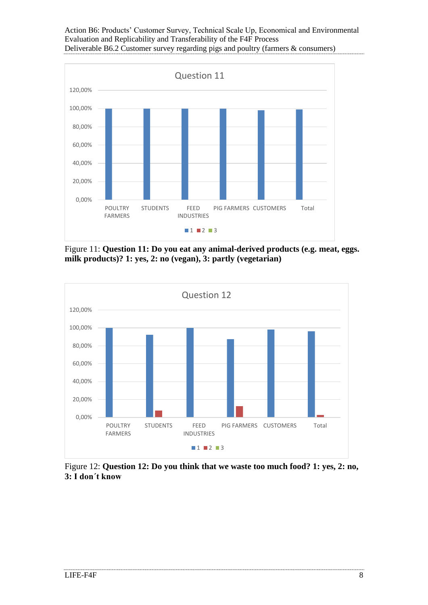

Figure 11: **Question 11: Do you eat any animal-derived products (e.g. meat, eggs. milk products)? 1: yes, 2: no (vegan), 3: partly (vegetarian)**



Figure 12: **Question 12: Do you think that we waste too much food? 1: yes, 2: no, 3: I don´t know**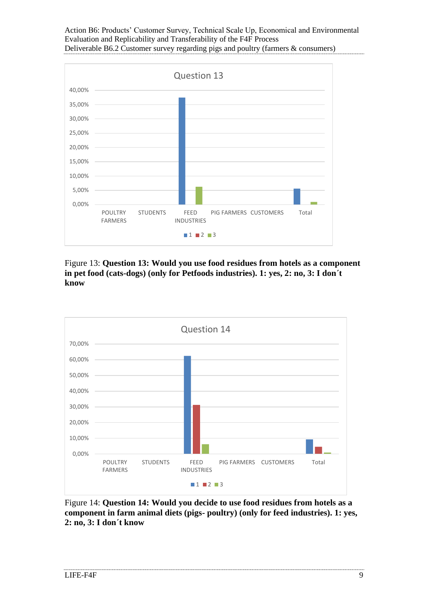

Figure 13: **Question 13: Would you use food residues from hotels as a component in pet food (cats-dogs) (only for Petfoods industries). 1: yes, 2: no, 3: I don´t know**



Figure 14: **Question 14: Would you decide to use food residues from hotels as a component in farm animal diets (pigs- poultry) (only for feed industries). 1: yes, 2: no, 3: I don´t know**